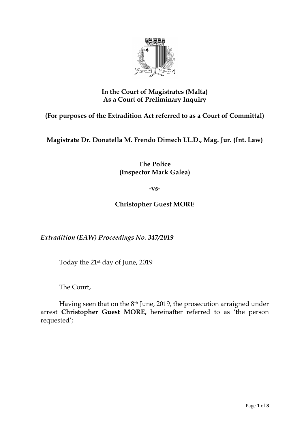

## **In the Court of Magistrates (Malta) As a Court of Preliminary Inquiry**

**(For purposes of the Extradition Act referred to as a Court of Committal)**

**Magistrate Dr. Donatella M. Frendo Dimech LL.D., Mag. Jur. (Int. Law)**

**The Police (Inspector Mark Galea)**

**-vs-**

**Christopher Guest MORE**

*Extradition (EAW) Proceedings No. 347/2019*

Today the 21st day of June, 2019

The Court,

Having seen that on the 8th June, 2019, the prosecution arraigned under arrest **Christopher Guest MORE,** hereinafter referred to as 'the person requested';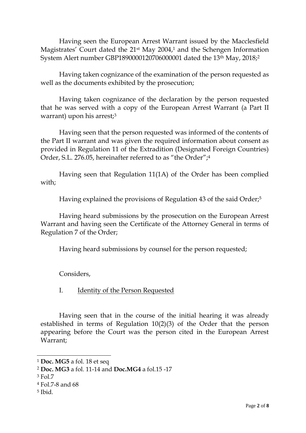Having seen the European Arrest Warrant issued by the Macclesfield Magistrates' Court dated the 21st May 2004, <sup>1</sup> and the Schengen Information System Alert number GBP1890000120706000001 dated the 13th May, 2018; 2

Having taken cognizance of the examination of the person requested as well as the documents exhibited by the prosecution;

Having taken cognizance of the declaration by the person requested that he was served with a copy of the European Arrest Warrant (a Part II warrant) upon his arrest;<sup>3</sup>

Having seen that the person requested was informed of the contents of the Part II warrant and was given the required information about consent as provided in Regulation 11 of the Extradition (Designated Foreign Countries) Order, S.L. 276.05, hereinafter referred to as "the Order"; 4

Having seen that Regulation 11(1A) of the Order has been complied with;

Having explained the provisions of Regulation 43 of the said Order;<sup>5</sup>

Having heard submissions by the prosecution on the European Arrest Warrant and having seen the Certificate of the Attorney General in terms of Regulation 7 of the Order;

Having heard submissions by counsel for the person requested;

Considers,

I. Identity of the Person Requested

Having seen that in the course of the initial hearing it was already established in terms of Regulation 10(2)(3) of the Order that the person appearing before the Court was the person cited in the European Arrest Warrant;

-

<sup>1</sup> **Doc. MG5** a fol. 18 et seq

<sup>2</sup> **Doc. MG3** a fol. 11-14 and **Doc.MG4** a fol.15 -17

<sup>3</sup> Fol.7

<sup>4</sup> Fol.7-8 and 68

<sup>5</sup> Ibid.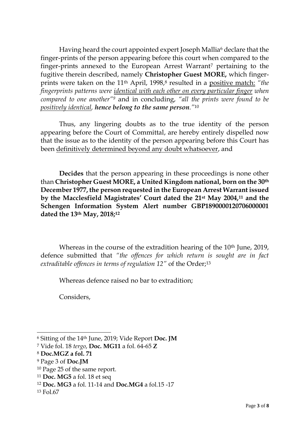Having heard the court appointed expert Joseph Mallia<sup>6</sup> declare that the finger-prints of the person appearing before this court when compared to the finger-prints annexed to the European Arrest Warrant<sup>7</sup> pertaining to the fugitive therein described, namely **Christopher Guest MORE,** which fingerprints were taken on the 11th April, 1998, <sup>8</sup> resulted in a positive match: *"the fingerprints patterns were identical with each other on every particular finger when compared to one another"<sup>9</sup>* and in concluding, *"all the prints were found to be positively identical, hence belong to the same person."*<sup>10</sup>

Thus, any lingering doubts as to the true identity of the person appearing before the Court of Committal, are hereby entirely dispelled now that the issue as to the identity of the person appearing before this Court has been definitively determined beyond any doubt whatsoever, and

**Decides** that the person appearing in these proceedings is none other than **Christopher Guest MORE, a United Kingdom national, born on the 30th December 1977, the person requested in the European Arrest Warrant issued by the Macclesfield Magistrates' Court dated the 21st May 2004,<sup>11</sup> and the Schengen Information System Alert number GBP1890000120706000001 dated the 13th May, 2018;<sup>12</sup>**

Whereas in the course of the extradition hearing of the 10<sup>th</sup> June, 2019, defence submitted that *"the offences for which return is sought are in fact*  extraditable offences in terms of regulation 12" of the Order;<sup>13</sup>

Whereas defence raised no bar to extradition;

Considers,

<sup>-</sup><sup>6</sup> Sitting of the 14th June, 2019; Vide Report **Doc. JM**

<sup>7</sup> Vide fol. 18 *tergo*, **Doc. MG11** a fol. 64-65 **Z**

<sup>8</sup> **Doc.MGZ a fol. 71**

<sup>9</sup> Page 3 of **Doc.JM**

<sup>10</sup> Page 25 of the same report.

<sup>11</sup> **Doc. MG5** a fol. 18 et seq

<sup>12</sup> **Doc. MG3** a fol. 11-14 and **Doc.MG4** a fol.15 -17

<sup>13</sup> Fol.67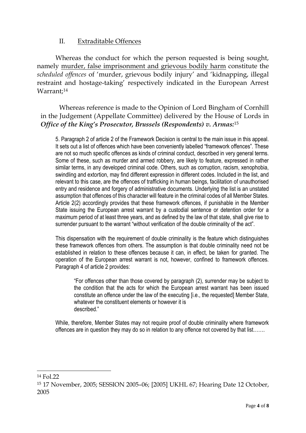## II. Extraditable Offences

Whereas the conduct for which the person requested is being sought, namely murder, false imprisonment and grievous bodily harm constitute the *scheduled offences* of 'murder, grievous bodily injury' and 'kidnapping, illegal restraint and hostage-taking' respectively indicated in the European Arrest Warrant; 14

Whereas reference is made to the Opinion of Lord Bingham of Cornhill in the Judgement (Appellate Committee) delivered by the House of Lords in *Office of the King's Prosecutor, Brussels (Respondents) v. Armas:* 15

5. Paragraph 2 of article 2 of the Framework Decision is central to the main issue in this appeal. It sets out a list of offences which have been conveniently labelled "framework offences". These are not so much specific offences as kinds of criminal conduct, described in very general terms. Some of these, such as murder and armed robbery, are likely to feature, expressed in rather similar terms, in any developed criminal code. Others, such as corruption, racism, xenophobia, swindling and extortion, may find different expression in different codes. Included in the list, and relevant to this case, are the offences of trafficking in human beings, facilitation of unauthorised entry and residence and forgery of administrative documents. Underlying the list is an unstated assumption that offences of this character will feature in the criminal codes of all Member States. Article 2(2) accordingly provides that these framework offences, if punishable in the Member State issuing the European arrest warrant by a custodial sentence or detention order for a maximum period of at least three years, and as defined by the law of that state, shall give rise to surrender pursuant to the warrant "without verification of the double criminality of the act".

This dispensation with the requirement of double criminality is the feature which distinguishes these framework offences from others. The assumption is that double criminality need not be established in relation to these offences because it can, in effect, be taken for granted. The operation of the European arrest warrant is not, however, confined to framework offences. Paragraph 4 of article 2 provides:

"For offences other than those covered by paragraph (2), surrender may be subject to the condition that the acts for which the European arrest warrant has been issued constitute an offence under the law of the executing [i.e., the requested] Member State, whatever the constituent elements or however it is described."

While, therefore, Member States may not require proof of double criminality where framework offences are in question they may do so in relation to any offence not covered by that list…….

-

 $14$  Fol. 22

<sup>15</sup> 17 November, 2005; SESSION 2005–06; [2005] UKHL 67; Hearing Date 12 October, 2005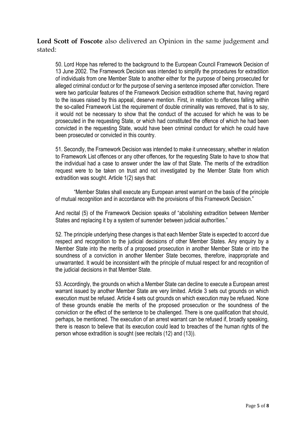**Lord Scott of Foscote** also delivered an Opinion in the same judgement and stated:

50. Lord Hope has referred to the background to the European Council Framework Decision of 13 June 2002. The Framework Decision was intended to simplify the procedures for extradition of individuals from one Member State to another either for the purpose of being prosecuted for alleged criminal conduct or for the purpose of serving a sentence imposed after conviction. There were two particular features of the Framework Decision extradition scheme that, having regard to the issues raised by this appeal, deserve mention. First, in relation to offences falling within the so-called Framework List the requirement of double criminality was removed, that is to say, it would not be necessary to show that the conduct of the accused for which he was to be prosecuted in the requesting State, or which had constituted the offence of which he had been convicted in the requesting State, would have been criminal conduct for which he could have been prosecuted or convicted in this country.

51. Secondly, the Framework Decision was intended to make it unnecessary, whether in relation to Framework List offences or any other offences, for the requesting State to have to show that the individual had a case to answer under the law of that State. The merits of the extradition request were to be taken on trust and not investigated by the Member State from which extradition was sought. Article 1(2) says that:

"Member States shall execute any European arrest warrant on the basis of the principle of mutual recognition and in accordance with the provisions of this Framework Decision."

And recital (5) of the Framework Decision speaks of "abolishing extradition between Member States and replacing it by a system of surrender between judicial authorities."

52. The principle underlying these changes is that each Member State is expected to accord due respect and recognition to the judicial decisions of other Member States. Any enquiry by a Member State into the merits of a proposed prosecution in another Member State or into the soundness of a conviction in another Member State becomes, therefore, inappropriate and unwarranted. It would be inconsistent with the principle of mutual respect for and recognition of the judicial decisions in that Member State.

53. Accordingly, the grounds on which a Member State can decline to execute a European arrest warrant issued by another Member State are very limited. Article 3 sets out grounds on which execution must be refused. Article 4 sets out grounds on which execution may be refused. None of these grounds enable the merits of the proposed prosecution or the soundness of the conviction or the effect of the sentence to be challenged. There is one qualification that should, perhaps, be mentioned. The execution of an arrest warrant can be refused if, broadly speaking, there is reason to believe that its execution could lead to breaches of the human rights of the person whose extradition is sought (see recitals (12) and (13)).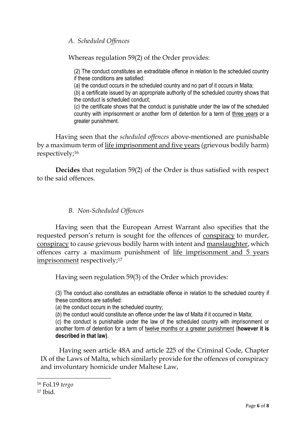*A. Scheduled Offences*

Whereas regulation 59(2) of the Order provides:

(2) The conduct constitutes an extraditable offence in relation to the scheduled country if these conditions are satisfied:

(*a*) the conduct occurs in the scheduled country and no part of it occurs in Malta;

(*b*) a certificate issued by an appropriate authority of the scheduled country shows that the conduct is scheduled conduct;

(*c*) the certificate shows that the conduct is punishable under the law of the scheduled country with imprisonment or another form of detention for a term of three years or a greater punishment.

Having seen that the *scheduled offences* above-mentioned are punishable by a maximum term of life imprisonment and five years (grievous bodily harm) respectively; 16

**Decides** that regulation 59(2) of the Order is thus satisfied with respect to the said offences.

*B. Non-Scheduled Offences*

Having seen that the European Arrest Warrant also specifies that the requested person's return is sought for the offences of conspiracy to murder, conspiracy to cause grievous bodily harm with intent and manslaughter, which offences carry a maximum punishment of life imprisonment and 5 years imprisonment respectively; 17

Having seen regulation 59(3) of the Order which provides:

(3) The conduct also constitutes an extraditable offence in relation to the scheduled country if these conditions are satisfied:

(*a*) the conduct occurs in the scheduled country;

(*b*) the conduct would constitute an offence under the law of Malta if it occurred in Malta;

(*c*) the conduct is punishable under the law of the scheduled country with imprisonment or another form of detention for a term of twelve months or a greater punishment (**however it is described in that law)**.

Having seen article 48A and article 225 of the Criminal Code, Chapter IX of the Laws of Malta, which similarly provide for the offences of conspiracy and involuntary homicide under Maltese Law,

 $\overline{a}$ 

<sup>16</sup> Fol.19 *tergo*

<sup>17</sup> Ibid.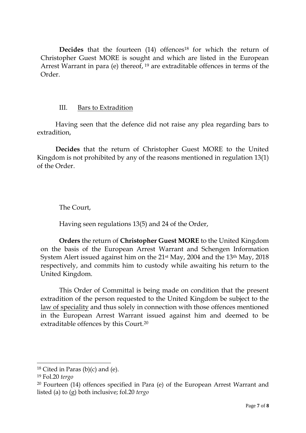**Decides** that the fourteen (14) offences<sup>18</sup> for which the return of Christopher Guest MORE is sought and which are listed in the European Arrest Warrant in para (e) thereof, <sup>19</sup> are extraditable offences in terms of the Order.

## III. Bars to Extradition

Having seen that the defence did not raise any plea regarding bars to extradition,

**Decides** that the return of Christopher Guest MORE to the United Kingdom is not prohibited by any of the reasons mentioned in regulation 13(1) of the Order.

The Court,

Having seen regulations 13(5) and 24 of the Order,

**Orders** the return of **Christopher Guest MORE** to the United Kingdom on the basis of the European Arrest Warrant and Schengen Information System Alert issued against him on the 21st May, 2004 and the 13th May, 2018 respectively, and commits him to custody while awaiting his return to the United Kingdom.

This Order of Committal is being made on condition that the present extradition of the person requested to the United Kingdom be subject to the law of speciality and thus solely in connection with those offences mentioned in the European Arrest Warrant issued against him and deemed to be extraditable offences by this Court.<sup>20</sup>

-

 $18$  Cited in Paras (b)(c) and (e).

<sup>19</sup> Fol.20 *tergo*

<sup>20</sup> Fourteen (14) offences specified in Para (e) of the European Arrest Warrant and listed (a) to (g) both inclusive; fol.20 *tergo*